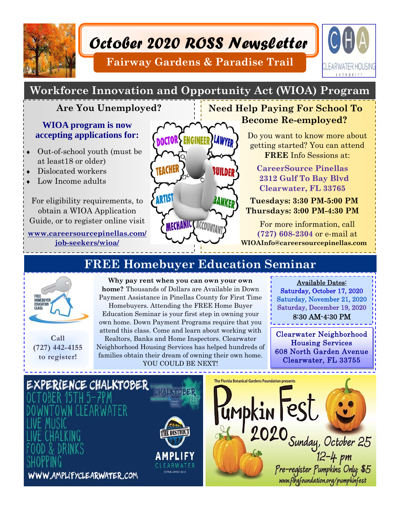

# *October 2020 ROSS Newsletter*

**Fairway Gardens & Paradise Trail** 



## **Workforce Innovation and Opportunity Act (WIOA) Program**

### **Are You Unemployed?**

#### **WIOA program is now accepting applications for:**

- Out-of-school youth (must be at least18 or older)
- Dislocated workers
- Low Income adults

For eligibility requirements, to obtain a WIOA Application Guide, or to register online visit

**www.careersourcepinellas.com/ job-seekers/wioa/** 



**FREE Homebuyer Education Seminar** 

## **Need Help Paying For School To Become Re-employed?**

Do you want to know more about getting started? You can attend **FREE** Info Sessions at:

 **CareerSource Pinellas 2312 Gulf To Bay Blvd Clearwater, FL 33765** 

 **Tuesdays: 3:30 PM-5:00 PM Thursdays: 3:00 PM-4:30 PM** 

For more information, call **(727) 608-2304** or e-mail at **WIOAInfo@careersourcepinellas.com** 



**Call (727) 442-4155 to register!** 

**Why pay rent when you can own your own home?** Thousands of Dollars are Available in Down Payment Assistance in Pinellas County for First Time Homebuyers. Attending the FREE Home Buyer Education Seminar is your first step in owning your own home. Down Payment Programs require that you attend this class. Come and learn about working with Realtors, Banks and Home Inspectors. Clearwater Neighborhood Housing Services has helped hundreds of families obtain their dream of owning their own home. YOU COULD BE NEXT!

Available Dates:

Saturday, October 17, 2020 Saturday, November 21, 2020 Saturday, December 19, 2020 8:30 AM-4:30 PM

Clearwater Neighborhood Housing Services 608 North Garden Avenue Clearwater, FL 33755